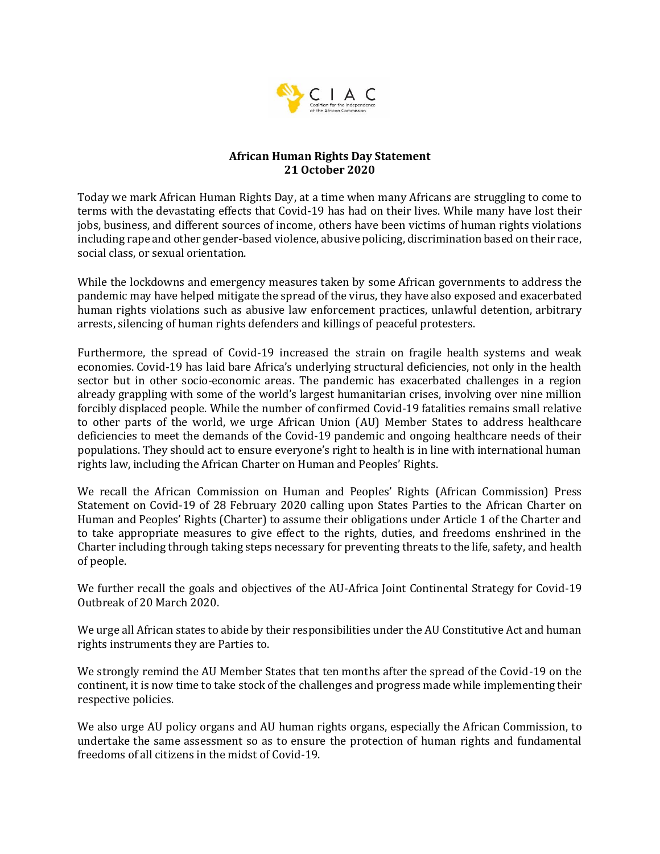

## **African Human Rights Day Statement 21 October 2020**

Today we mark African Human Rights Day, at a time when many Africans are struggling to come to terms with the devastating effects that Covid-19 has had on their lives. While many have lost their jobs, business, and different sources of income, others have been victims of human rights violations including rape and other gender-based violence, abusive policing, discrimination based on their race, social class, or sexual orientation.

While the lockdowns and emergency measures taken by some African governments to address the pandemic may have helped mitigate the spread of the virus, they have also exposed and exacerbated human rights violations such as abusive law enforcement practices, unlawful detention, arbitrary arrests, silencing of human rights defenders and killings of peaceful protesters.

Furthermore, the spread of Covid-19 increased the strain on fragile health systems and weak economies. Covid-19 has laid bare Africa's underlying structural deficiencies, not only in the health sector but in other socio-economic areas. The pandemic has exacerbated challenges in a region already grappling with some of the world's largest humanitarian crises, involving over nine million forcibly displaced people. While the number of confirmed Covid-19 fatalities remains small relative to other parts of the world, we urge African Union (AU) Member States to address healthcare deficiencies to meet the demands of the Covid-19 pandemic and ongoing healthcare needs of their populations. They should act to ensure everyone's right to health is in line with international human rights law, including the African Charter on Human and Peoples' Rights.

We recall the African Commission on Human and Peoples' Rights (African Commission) Press Statement on Covid-19 of 28 February 2020 calling upon States Parties to the African Charter on Human and Peoples' Rights (Charter) to assume their obligations under Article 1 of the Charter and to take appropriate measures to give effect to the rights, duties, and freedoms enshrined in the Charter including through taking steps necessary for preventing threats to the life, safety, and health of people.

We further recall the goals and objectives of the AU-Africa Joint Continental Strategy for Covid-19 Outbreak of 20 March 2020.

We urge all African states to abide by their responsibilities under the AU Constitutive Act and human rights instruments they are Parties to.

We strongly remind the AU Member States that ten months after the spread of the Covid-19 on the continent, it is now time to take stock of the challenges and progress made while implementing their respective policies.

We also urge AU policy organs and AU human rights organs, especially the African Commission, to undertake the same assessment so as to ensure the protection of human rights and fundamental freedoms of all citizens in the midst of Covid-19.